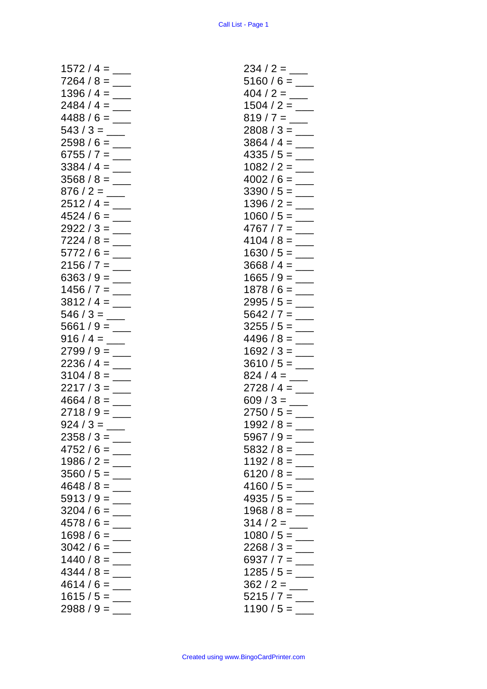| $1572 / 4 =$         |   |     |                            |
|----------------------|---|-----|----------------------------|
| $7264/8=$            |   |     |                            |
| $1396 / 4 =$         |   |     | $\overline{\phantom{a}}$   |
| $2484/4=$            |   |     | $\frac{1}{1}$              |
| $4488 / 6 =$         |   |     |                            |
| $543/3 =$ ___        |   |     |                            |
| $2598/6 =$           |   |     | $\overline{\phantom{a}}$   |
| $6755 / 7 =$         |   |     |                            |
| $3384 / 4 =$         |   |     | $\overline{\phantom{a}}$   |
|                      |   |     | $\mathcal{L}(\mathcal{L})$ |
|                      |   |     |                            |
|                      |   |     |                            |
|                      |   |     |                            |
| $4524 / 6 =$         |   |     |                            |
| $2922 / 3 =$         |   |     |                            |
| $7224 / 8 =$         |   |     |                            |
| $5772/6=$            |   |     |                            |
| $2156 / 7 =$         |   |     |                            |
| $6363 / 9 =$         |   |     |                            |
| $1456 / 7 =$         |   |     | $\overline{\phantom{a}}$   |
|                      |   |     |                            |
|                      |   |     |                            |
|                      |   |     |                            |
|                      |   |     |                            |
| $2799/9=$            |   |     |                            |
| $2236 / 4 =$         |   |     |                            |
| $3104 / 8 =$         |   |     |                            |
| $2217/3 =$           |   |     |                            |
| $4664 / 8 =$         |   |     |                            |
| $2718/9=$            |   |     |                            |
|                      |   |     |                            |
|                      |   |     |                            |
|                      |   |     |                            |
| 2358 / 3             |   |     |                            |
| 4752/6               |   |     |                            |
| 1986 / 2             |   | =   |                            |
| 3560/5               |   | =   |                            |
| / 8<br>4648          |   |     |                            |
| 5913<br>79           |   | $=$ |                            |
| 3204/6               |   | =   |                            |
| 4578 / 6             |   | =   |                            |
| 1698<br>$\prime$     | 6 |     |                            |
| 3042/6               |   | =   |                            |
| 1440/8               |   | =   |                            |
|                      |   | =   |                            |
| 4344<br>/8           |   |     |                            |
| 4614<br>1            | 6 | =   |                            |
| 1615/5<br>2988 / 9 = |   | $=$ |                            |

| $5160/6 =$                   |               |
|------------------------------|---------------|
|                              |               |
|                              |               |
|                              |               |
|                              |               |
|                              |               |
|                              |               |
| $2808 / 3 =$                 |               |
| 3864 / 4 =                   |               |
|                              |               |
| $4335/5=$                    |               |
| $1082 / 2 =$                 |               |
|                              |               |
| $4002/6=$                    |               |
| $3390 / 5 =$                 |               |
|                              |               |
| 1396 / 2 =                   |               |
| $1060 / 5 =$                 |               |
|                              |               |
| 4767 / 7                     | $=$           |
| 4104 / 8 $=$                 |               |
|                              |               |
| $1630/5=$                    |               |
|                              |               |
| $3668 / 4 =$                 |               |
| $1665/9=$                    |               |
|                              |               |
| $1878/6=$                    |               |
| $2995/5 =$                   |               |
|                              |               |
| $5642 / 7 =$                 |               |
| $3255 / 5 =$                 |               |
|                              |               |
|                              |               |
| $4496 / 8 =$                 |               |
|                              |               |
| $1692 / 3 =$                 |               |
| $3610 / 5 =$                 |               |
|                              |               |
| $824 / 4 =$                  |               |
|                              |               |
| $2728 / 4 =$                 |               |
| 609 / 3 = $\_{\_}$           |               |
|                              |               |
| $2750 / 5 =$                 |               |
| 1992<br>$/ 8 =$              |               |
|                              |               |
| $5967/9=$                    |               |
| 5832 / 8 =                   |               |
|                              |               |
| $1192/8=$                    |               |
| $6120/8=$                    |               |
|                              |               |
| $4160/5=$                    |               |
| $4935 / 5 =$                 |               |
|                              |               |
| $1968 / 8 =$                 | $\frac{1}{1}$ |
|                              |               |
|                              |               |
| $1080 / 5 =$                 |               |
|                              |               |
| $2268 / 3 =$                 |               |
| 6937 / 7 =                   | $\frac{1}{1}$ |
| $1285/5=$                    |               |
|                              |               |
|                              |               |
|                              |               |
| $5215 / 7 =$<br>$1190 / 5 =$ |               |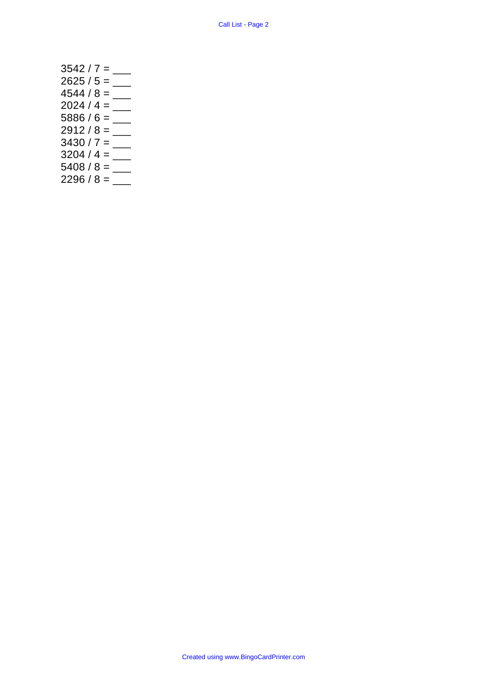3542 / 7 = \_\_\_ 2625 / 5 = \_\_\_ 4544 / 8 = \_\_\_ 2024 / 4 = \_\_\_ 5886 / 6 =  $\frac{1}{1}$ 2912 / 8 = \_\_\_ 3430 / 7 = \_\_\_ 3204 / 4 = \_\_\_ 5408 / 8 = \_\_\_ 2296 / 8 = \_\_\_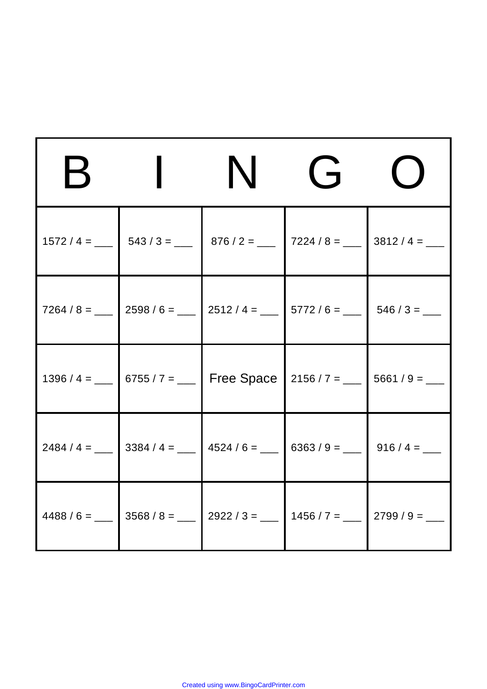| $\boldsymbol{\mathsf{H}}$ | N                                                                                  | $\overrightarrow{J}$ |  |
|---------------------------|------------------------------------------------------------------------------------|----------------------|--|
|                           | $1572 / 4 =$ ___ $543 / 3 =$ ___ $876 / 2 =$ ___ $7224 / 8 =$ ___ $3812 / 4 =$ ___ |                      |  |
|                           |                                                                                    |                      |  |
|                           | 1396 / 4 = ___ 6755 / 7 = ___ Free Space 2156 / 7 = ___ 5661 / 9 = ___             |                      |  |
|                           | 2484 / 4 = ___ 3384 / 4 = ___ 4524 / 6 = ___ 6363 / 9 = ___ 916 / 4 = ___          |                      |  |
|                           | 4488 / 6 = ___ 3568 / 8 = ___ 2922 / 3 = ___ 1456 / 7 = ___ 2799 / 9 = ___         |                      |  |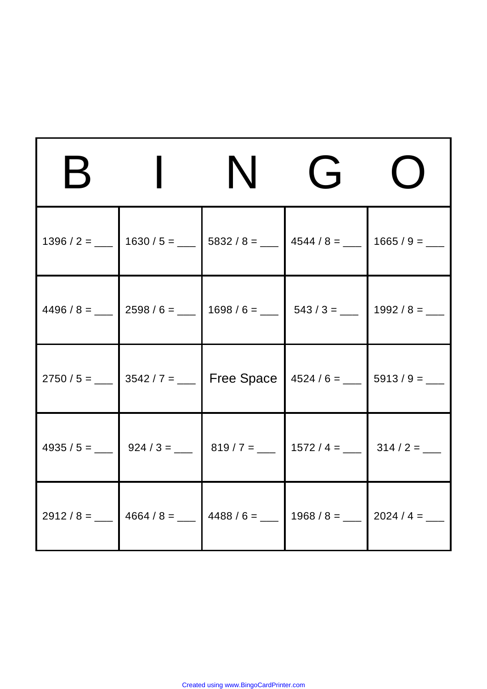| $\boldsymbol{\mathsf{B}}$ | N                                                                                                          | G |  |
|---------------------------|------------------------------------------------------------------------------------------------------------|---|--|
|                           | 1396 / 2 = ___ 1630 / 5 = ___ 5832 / 8 = ___ 4544 / 8 = ___ 1665 / 9 = ___                                 |   |  |
|                           | $4496 / 8 =$ ___ 2598 / 6 = ___ 1698 / 6 = ___ 543 / 3 = ___ 1992 / 8 = ___                                |   |  |
|                           | 2750 / 5 = ___ 3542 / 7 = ___ Free Space $\mid$ 4524 / 6 = ___ 5913 / 9 = ___                              |   |  |
|                           | $4935 / 5 =$ 924 / 3 = ___ 819 / 7 = ___ 1572 / 4 = ___ 314 / 2 = ___                                      |   |  |
|                           | 2912 / 8 = ___ $\vert$ 4664 / 8 = ___ $\vert$ 4488 / 6 = ___ $\vert$ 1968 / 8 = ___ $\vert$ 2024 / 4 = ___ |   |  |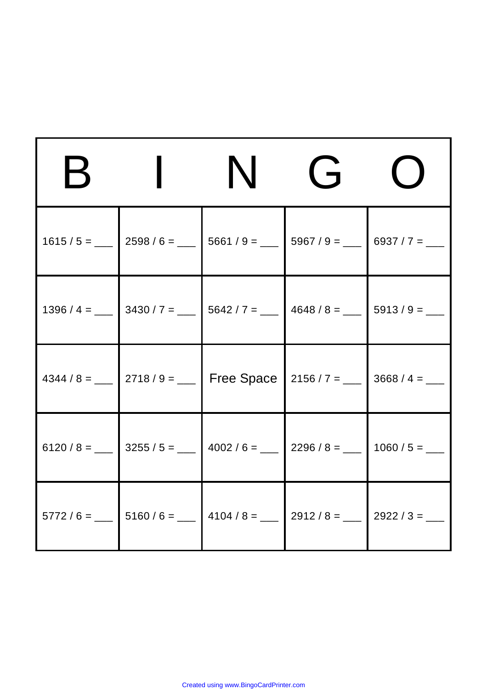|  | N                                                                                                             | $\overrightarrow{F}$ |  |
|--|---------------------------------------------------------------------------------------------------------------|----------------------|--|
|  | $1615 / 5 =$ 2598 / 6 = ___ 5661 / 9 = ___ 5967 / 9 = ___ 6937 / 7 = ___                                      |                      |  |
|  | 1396 / 4 = ___ 3430 / 7 = ___ 5642 / 7 = ___ 4648 / 8 = ___ 5913 / 9 = ___                                    |                      |  |
|  | 4344 / 8 = ___ 2718 / 9 = ___ Free Space 2156 / 7 = ___ 3668 / 4 = ___                                        |                      |  |
|  | 6120 / 8 = ___ 3255 / 5 = ___ 4002 / 6 = ___ 2296 / 8 = ___ 1060 / 5 = ___                                    |                      |  |
|  | $\begin{bmatrix} 5772 / 6 = \_ \end{bmatrix}$ 5160 / 6 = $\_$ 4104 / 8 = $\_$ 2912 / 8 = $\_$ 2922 / 3 = $\_$ |                      |  |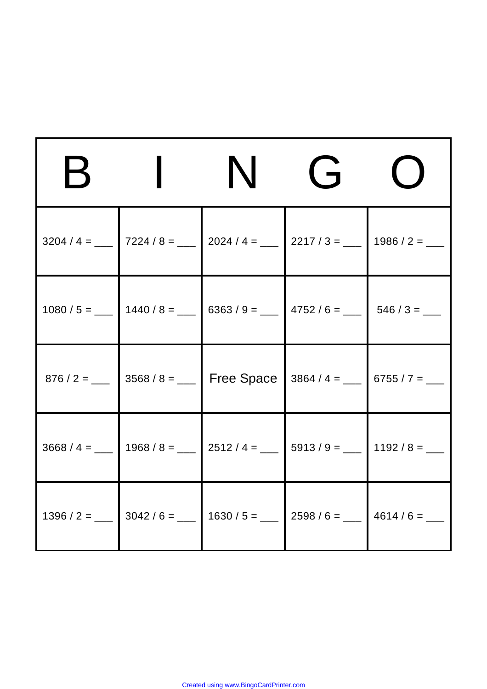| К | N                                                                                    | $\overrightarrow{J}$ |  |
|---|--------------------------------------------------------------------------------------|----------------------|--|
|   |                                                                                      |                      |  |
|   | $1080 / 5 =$ ___   1440 / 8 = ___   6363 / 9 = ___   4752 / 6 = ___   546 / 3 = ___  |                      |  |
|   | 876 / 2 = ___ 3568 / 8 = ___ Free Space 3864 / 4 = ___ 6755 / 7 = ___                |                      |  |
|   | $3668 / 4 =$ ___   1968 / 8 = ___   2512 / 4 = ___   5913 / 9 = ___   1192 / 8 = ___ |                      |  |
|   | 1396 / 2 = ___ 3042 / 6 = ___ 1630 / 5 = ___ 2598 / 6 = ___ 4614 / 6 = ___           |                      |  |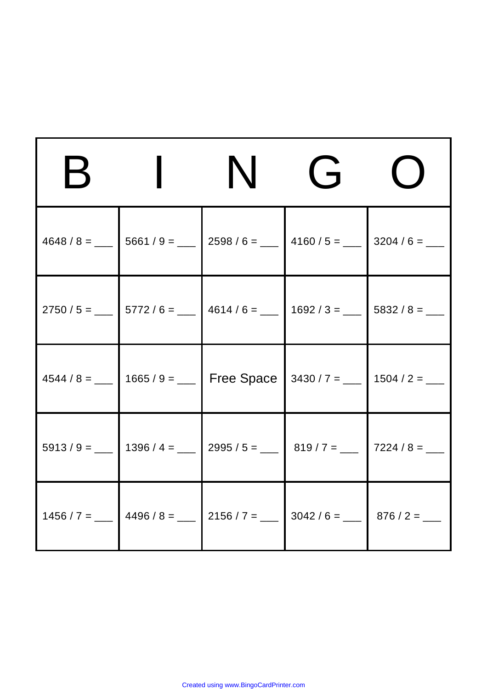| К | N                                                                                                         | $\overrightarrow{J}$ |  |
|---|-----------------------------------------------------------------------------------------------------------|----------------------|--|
|   | $4648 / 8 =$ ___ 5661 / 9 = ___ 2598 / 6 = ___ 4160 / 5 = ___ 3204 / 6 = ___                              |                      |  |
|   | $2750 / 5 =$ ___ $5772 / 6 =$ ___ $4614 / 6 =$ ___ $1692 / 3 =$ ___ $5832 / 8 =$ ___                      |                      |  |
|   | $4544 / 8 =$ $-$ 1665/9 = $-$ Free Space 3430/7 = $-$ 1504/2 = $-$                                        |                      |  |
|   | $5913 / 9 =$ ___ 1396 / 4 = ___ 2995 / 5 = ___ 819 / 7 = ___ 7224 / 8 = ___                               |                      |  |
|   | 1456 / 7 = ___ $\vert$ 4496 / 8 = ___ $\vert$ 2156 / 7 = ___ $\vert$ 3042 / 6 = ___ $\vert$ 876 / 2 = ___ |                      |  |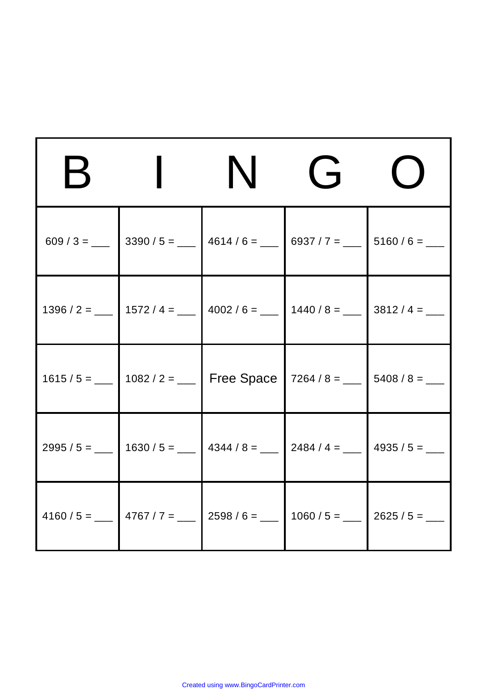| $\boldsymbol{\mathsf{R}}$ | N                                                                                                          | $\overrightarrow{J}$ |  |
|---------------------------|------------------------------------------------------------------------------------------------------------|----------------------|--|
|                           | 609 / 3 = ___ 3390 / 5 = ___ 4614 / 6 = ___ 6937 / 7 = ___ 5160 / 6 = ___                                  |                      |  |
|                           | 1396 / 2 = ___ 1572 / 4 = ___ 4002 / 6 = ___ 1440 / 8 = ___ 3812 / 4 = ___                                 |                      |  |
|                           | 1615 / 5 = ___ 1082 / 2 = ___ Free Space   7264 / 8 = ___ 5408 / 8 = ___                                   |                      |  |
|                           | 2995 / 5 = ___ 1630 / 5 = ___ 4344 / 8 = ___ 2484 / 4 = ___ 4935 / 5 = ___                                 |                      |  |
|                           | 4160 / 5 = ___ $\Big $ 4767 / 7 = ___ $\Big $ 2598 / 6 = ___ $\Big $ 1060 / 5 = ___ $\Big $ 2625 / 5 = ___ |                      |  |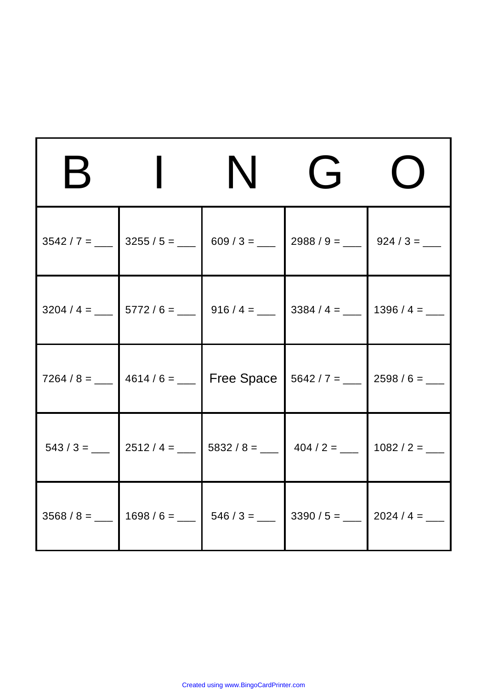| E |                                                                                                        | N | $\overrightarrow{J}$ |  |
|---|--------------------------------------------------------------------------------------------------------|---|----------------------|--|
|   | $3542 / 7 =$ ___ 3255 / 5 = ___ 609 / 3 = ___ 2988 / 9 = ___ 924 / 3 = ___                             |   |                      |  |
|   | $3204 / 4 =$ ___ $5772 / 6 =$ ___ $916 / 4 =$ ___ $3384 / 4 =$ ___ 1396/4 = ___                        |   |                      |  |
|   | 7264 / 8 = ___ $\vert$ 4614 / 6 = ___ $\vert$ Free Space $\vert$ 5642 / 7 = ___ $\vert$ 2598 / 6 = ___ |   |                      |  |
|   |                                                                                                        |   |                      |  |
|   | $3568 / 8 =$ ___ 1698 / 6 = ___ 546 / 3 = ___ 3390 / 5 = ___ 2024 / 4 = ___                            |   |                      |  |